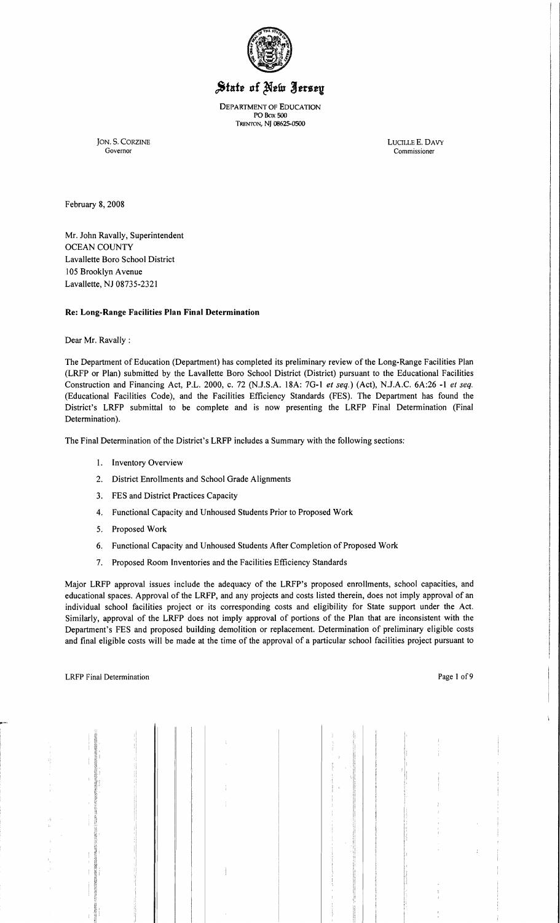

# State of New Jersey

DEPARTMENT OF EDUCATION PO Box 500 TRENTON, NJ 08625--0500

JON. S. CORZINE LUCILLE E. DAVY COVERINE LUCILLE E. DAVY Governor Commissioner

February 8, 2008

Mr. John Ravally, Superintendent OCEAN COUNTY Lavallette Boro School District 105 Brooklyn Avenue Lavallette, NJ 08735-2321

#### **Re: Long-Range Facilities Plan Final Determination**

Dear Mr. Ravally :

The Department of Education (Department) has completed its preliminary review of the Long-Range Facilities Plan (LRFP or Plan) submitted by the Lavallette Boro School District (District) pursuant to the Educational Facilities Construction and Financing Act, P.L. 2000, c. 72 (N.J.S.A. 18A: 7G-1 *et seq.*) (Act), N.J.A.C. 6A:26 -1 *et seq.* (Educational Facilities Code), and the Facilities Efficiency Standards (FES). The Department has found the District's LRFP submittal to be complete and is now presenting the LRFP Final Determination (Final Determination).

The Final Determination of the District's LRFP includes a Summary with the following sections:

- 1. Inventory Overview
- 2. District Enrollments and School Grade Alignments
- 3. FES and District Practices Capacity
- 4. Functional Capacity and Unhoused Students Prior to Proposed Work
- 5. Proposed Work
- 6. Functional Capacity and Unhoused Students After Completion of Proposed Work
- 7. Proposed Room Inventories and the Facilities Efficiency Standards

Major LRFP approval issues include the adequacy of the LRFP's proposed enrollments, school capacities, and educational spaces. Approval of the LRFP, and any projects and costs listed therein, does not imply approval of an individual school facilities project or its corresponding costs and eligibility for State support under the Act. Similarly, approval of the LRFP does not imply approval of portions of the Plan that are inconsistent with the Department's FES and proposed building demolition or replacement. Determination of preliminary eligible costs and final eligible costs will be made at the time of the approval of a particular school facilities project pursuant to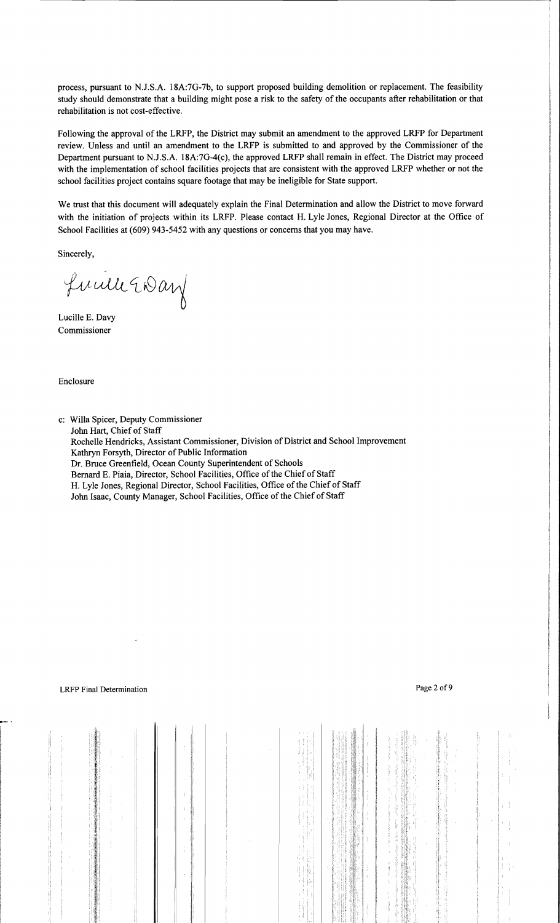process, pursuant to NJ.S.A. 18A:7G-7b, to support proposed building demolition or replacement. The feasibility study should demonstrate that a building might pose a risk to the safety of the occupants after rehabilitation or that rehabilitation is not cost-effective.

Following the approval of the LRFP, the District may submit an amendment to the approved LRFP for Department review. Unless and until an amendment to the LRFP is submitted to and approved by the Commissioner of the Department pursuant to NJ.S.A. 18A:7G-4(c), the approved LRFP shall remain in effect. The District may proceed with the implementation of school facilities projects that are consistent with the approved LRFP whether or not the school facilities project contains square footage that may be ineligible for State support.

We trust that this document will adequately explain the Final Determination and allow the District to move forward with the initiation of projects within its LRFP. Please contact H. Lyle Jones, Regional Director at the Office of School Facilities at (609) 943·5452 with any questions or concerns that you may have.

Sincerely,

fucile Endan

Lucille E. Davy Commissioner

Enclosure

c: Willa Spicer, Deputy Commissioner John Hart, Chief of Staff Rochelle Hendricks, Assistant Commissioner, Division of District and School Improvement Kathryn Forsyth, Director of Public Information Dr. Bruce Greenfield, Ocean County Superintendent of Schools Bernard E. Piaia, Director, School Facilities, Office of the Chief of Staff H. Lyle Jones, Regional Director, School Facilities, Office of the Chief of Staff John Isaac, County Manager, School Facilities, Office of the Chief of Staff

 $\mathbf{H}$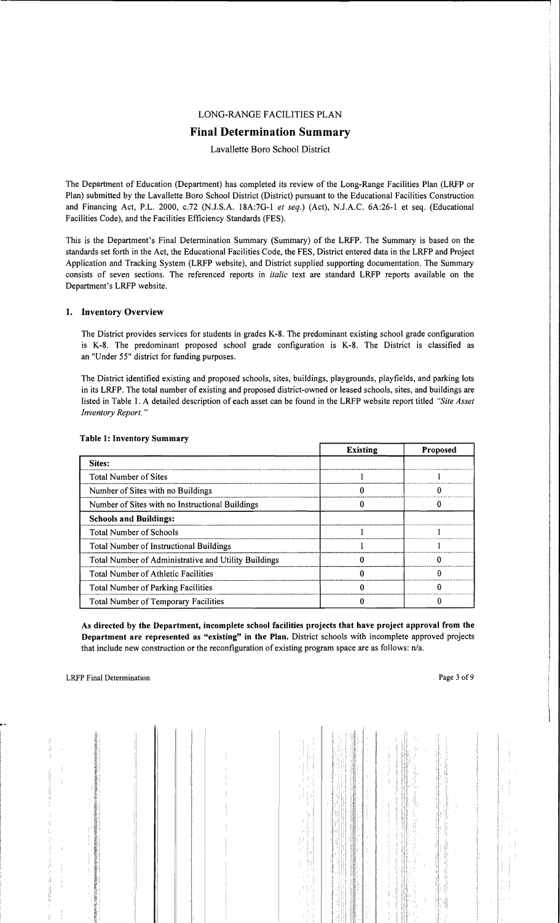## LONG-RANGE FACILITIES PLAN

# Final Determination Summary

#### Lavallette Boro School District

The Department of Education (Department) has completed its review of the Long-Range Facilities Plan (LRFP or Plan) submitted by the Lavallette Boro School District (District) pursuant to the Educational Facilities Construction and Financing Act, *PL.* 2000, c.72 (N.l.S.A. 18A:7G-l *et seq.)* (Act), NJ.A.C. 6A:26-1 et seq. (Educational Facilities Code), and the Facilities Efficiency Standards (FES).

This is the Department's Final Determination Summary (Summary) of the LRFP. The Summary is based on the standards set forth in the Act, the Educational Facilities Code, the FES, District entered data in the LRFP and Project Application and Tracking System (LRFP website), and District supplied supporting documentation. The Summary consists of seven sections. The referenced reports in *italic* text are standard LRFP reports available on the Department's LRFP website.

#### 1. Inventory Overview

The District provides services for students in grades K-8. The predominant existing school grade configuration is K-8. The predominant proposed school grade configuration is K-8. The District is classified as an "Under 55" district for funding purposes.

The District identified existing and proposed schools, sites, buildings, playgrounds, playfields, and parking lots in its LRFP. The total number of existing and proposed district-owned or leased schools, sites, and buildings are listed in Table 1. A detailed description of each asset can be found in the LRFP website report titled *"Site Asset Inventory Report. "* 

|                                                      | <b>Existing</b> | <b>Proposed</b> |
|------------------------------------------------------|-----------------|-----------------|
| Sites:                                               |                 |                 |
| <b>Total Number of Sites</b>                         |                 |                 |
| Number of Sites with no Buildings                    |                 |                 |
| Number of Sites with no Instructional Buildings      |                 |                 |
| <b>Schools and Buildings:</b>                        |                 |                 |
| <b>Total Number of Schools</b>                       |                 |                 |
| Total Number of Instructional Buildings              |                 |                 |
| Total Number of Administrative and Utility Buildings |                 |                 |
| Total Number of Athletic Facilities                  |                 |                 |
| Total Number of Parking Facilities                   |                 |                 |
| Total Number of Temporary Facilities                 |                 |                 |

#### Table 1: Inventory Summary

As directed by the Department, incomplete school facilities projects that have project approval from the Department are represented as "existing" in the Plan. District schools with incomplete approved projects that include new construction or the reconfiguration of existing program space are as follows: *n/a.*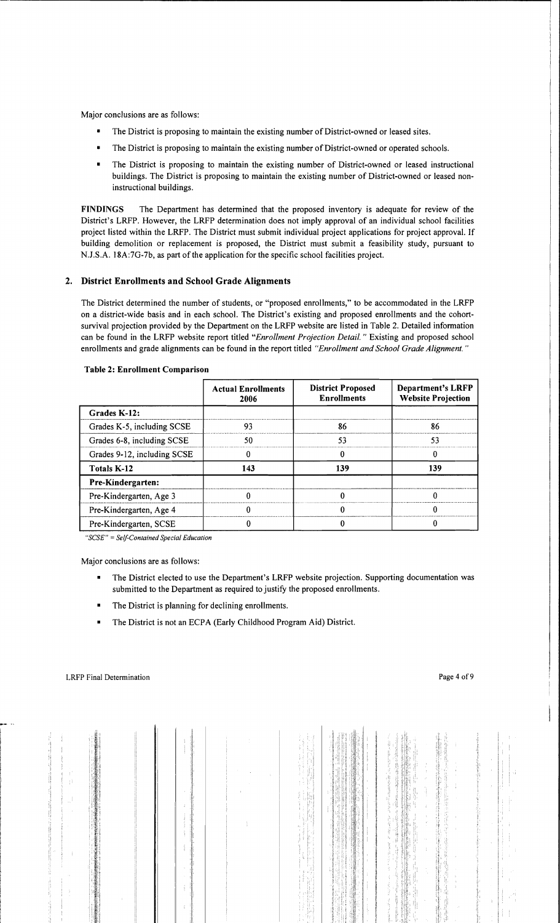Major conclusions are as follows:

- The District is proposing to maintain the existing number of District-owned or leased sites.
- The District is proposing to maintain the existing number of District-owned or operated schools.
- The District is proposing to maintain the existing number of District-owned or leased instructional buildings. The District is proposing to maintain the existing number of District-owned or leased noninstructional buildings.

FINDINGS The Department has determined that the proposed inventory is adequate for review of the District's LRFP. However, the LRFP determination does not imply approval of an individual school facilities project listed within the LRFP. The District must submit individual project applications for project approval. If building demolition or replacement is proposed, the District must submit a feasibility study, pursuant to NJ.S.A. 18A:7G-7b, as part of the application for the specific school facilities project.

## 2. District Enrollments and School Grade Alignments

The District determined the number of students, or "proposed enrollments," to be accommodated in the LRFP on a district-wide basis and in each school. The District's existing and proposed enrollments and the cohortsurvival projection provided by the Department on the LRFP website are listed in Table 2. Detailed information can be found in the LRFP website report titled *"Enrollment Projection Detail.* " Existing and proposed school enrollments and grade alignments can be found in the report titled *"Enrollment and School Grade Alignment. "* 

|                             | <b>Actual Enrollments</b><br>2006 | <b>District Proposed</b><br><b>Enrollments</b> | <b>Department's LRFP</b><br><b>Website Projection</b> |
|-----------------------------|-----------------------------------|------------------------------------------------|-------------------------------------------------------|
| Grades K-12:                |                                   |                                                |                                                       |
| Grades K-5, including SCSE  | 93                                | 86                                             | 86                                                    |
| Grades 6-8, including SCSE  | 50                                | 53                                             | 53                                                    |
| Grades 9-12, including SCSE |                                   |                                                |                                                       |
| <b>Totals K-12</b>          | 143                               | 139                                            | 139                                                   |
| Pre-Kindergarten:           |                                   |                                                |                                                       |
| Pre-Kindergarten, Age 3     |                                   |                                                |                                                       |
| Pre-Kindergarten, Age 4     |                                   |                                                |                                                       |
| Pre-Kindergarten, SCSE      |                                   |                                                |                                                       |

#### Table 2: Enrollment Comparison

*"SCSE"* = *Self-Contained Special Education* 

Major conclusions are as follows:

- The District elected to use the Department's LRFP website projection. Supporting documentation was submitted to the Department as required to justify the proposed enrollments.
- The District is planning for declining enrollments.
- The District is not an ECPA (Early Childhood Program Aid) District.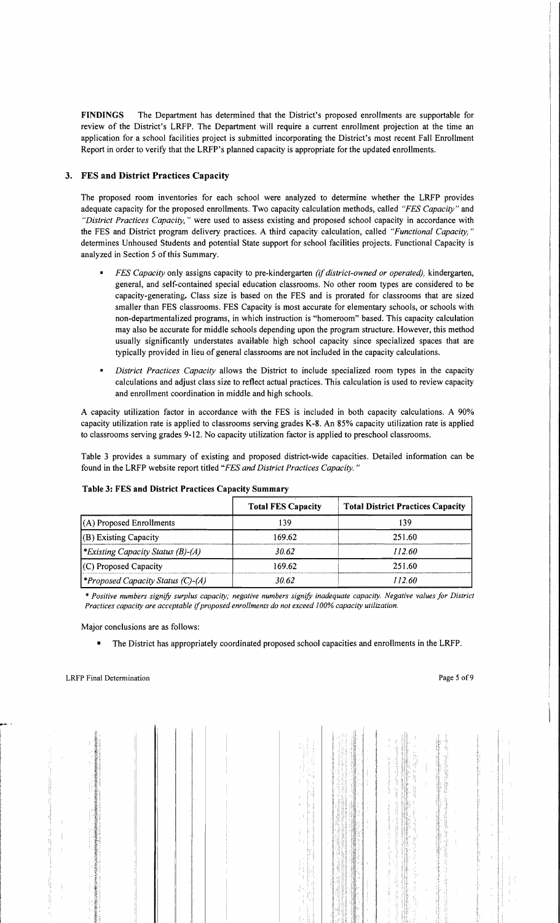FINDINGS The Department has determined that the District's proposed enrollments are supportable for review of the District's LRFP. The Department will require a current enrollment projection at the time an application for a school facilities project is submitted incorporating the District's most recent Fall Enrollment Report in order to verify that the LRFP's planned capacity is appropriate for the updated enrollments.

#### 3. FES and District Practices Capacity

The proposed room inventories for each school were analyzed to determine whether the LRFP provides adequate capacity for the proposed enrollments. Two capacity calculation methods, called *"FES Capacity"* and *"District Practices Capacity,* " were used to assess existing and proposed school capacity in accordance with the FES and District program delivery practices. A third capacity calculation, called *"Functional Capacity, "*  detennines Unhoused Students and potential State support for school facilities projects. Functional Capacity is analyzed in Section 5 of this Summary.

- *FES Capacity* only assigns capacity to pre-kindergarten *(if district-owned or operated),* kindergarten, general, and self-contained special education classrooms. No other room types are considered to be capacity-generating. Class size is based on the FES and is prorated for classrooms that are sized smaller than FES classrooms. FES Capacity is most accurate for elementary schools, or schools with non-departmentalized programs, in which instruction is "homeroom" based. This capacity calculation may also be accurate for middle schools depending upon the program structure. However, this method usually significantly understates available high school capacity since specialized spaces that are typically provided in lieu of general classrooms are not included in the capacity calculations.
- *District Practices Capacity* allows the District to include specialized room types in the capacity calculations and adjust class size to reflect actual practices. This calculation is used to review capacity and enrollment coordination in middle and high schools.

A capacity utilization factor in accordance with the FES is included in both capacity calculations. A 90% capacity utilization rate is applied to classrooms serving grades K-8. An 85% capacity utilization rate is applied to classrooms serving grades 9-12. No capacity utilization factor is applied to preschool classrooms.

Table 3 provides a summary of existing and proposed district-wide capacities. Detailed infonnation can be found in the LRFP website report titled *"FES and District Practices Capacity. "* 

|                                                 | <b>Total FES Capacity</b> | <b>Total District Practices Capacity</b> |
|-------------------------------------------------|---------------------------|------------------------------------------|
| $(A)$ Proposed Enrollments                      | 139                       | 139                                      |
| (B) Existing Capacity                           | 169.62                    | 251.60                                   |
| *Existing Capacity Status (B)-(A)               | 30.62                     | 112.60                                   |
| $(C)$ Proposed Capacity                         | 169.62                    | 251.60                                   |
| <i><b>*Proposed Capacity Status (C)-(A)</b></i> | 30.62                     | 112.60                                   |

#### Table 3: FES and District Practices Capacity Summary

\*' *Positive numbers signify surplus capacity; negative numbers signify inadequate capacity. Negative values for District Practices capacity are acceptable* if*proposed enrollments do not exceed 100% capacity utilization.* 

Major conclusions are as follows:

• The District has appropriately coordinated proposed school capacities and enrollments in the LRFP.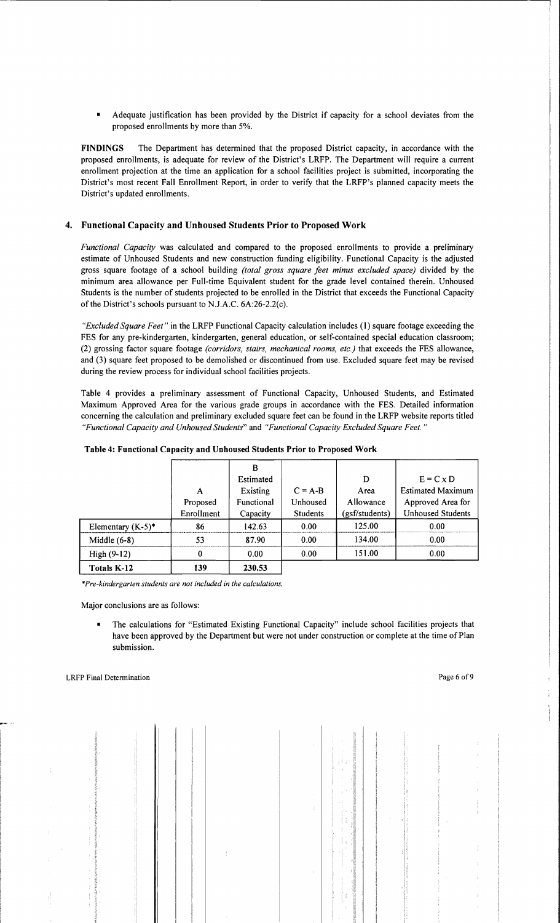• Adequate justification has been provided by the District if capacity for a school deviates from the proposed enrollments by more than 5%.

FINDINGS The Department has determined that the proposed District capacity, in accordance with the proposed enrollments, is adequate for review of the District's LRFP. The Department will require a current enrollment projection at the time an application for a school facilities project is submitted, incorporating the District's most recent Fall Enrollment Report, in order to verify that the LRFP's planned capacity meets the District's updated enrollments.

## 4. Functional Capacity and Unhoused Students Prior to Proposed Work

*Functional Capacity* was calculated and compared to the proposed enrollments to provide a preliminary estimate of Unhoused Students and new construction funding eligibility. Functional Capacity is the adjusted gross square footage of a school building *(total gross square feet minus excluded space)* divided by the minimum area allowance per Full-time Equivalent student for the grade level contained therein. Unhoused Students is the number of students projected to be enrolled in the District that exceeds the Functional Capacity of the District's schools pursuant to N.lA.C. 6A:26-2.2(c).

*"Excluded Square Feet"* in the LRFP Functional Capacity calculation includes (1) square footage exceeding the FES for any pre-kindergarten, kindergarten, general education, or self-contained special education classroom; (2) grossing factor square footage *(corridors, stairs, mechanical rooms, etc.)* that exceeds the FES allowance, and (3) square feet proposed to be demolished or discontinued from use. Excluded square feet may be revised during the review process for individual school facilities projects.

Table 4 provides a preliminary assessment of Functional Capacity, Unhoused Students, and Estimated Maximum Approved Area for the various grade groups in accordance with the FES. Detailed information concerning the calculation and preliminary excluded square feet can be found in the LRFP website reports titled *"Functional Capacity and Unhoused Students"* and *"Functional Capacity Excluded Square Feet. "* 

|                      |            | B          |                 |                |                          |
|----------------------|------------|------------|-----------------|----------------|--------------------------|
|                      |            | Estimated  |                 | D              | $E = C \times D$         |
|                      | A          | Existing   | $C = A-B$       | Area           | <b>Estimated Maximum</b> |
|                      | Proposed   | Functional | Unhoused        | Allowance      | Approved Area for        |
|                      | Enrollment | Capacity   | <b>Students</b> | (gsf/students) | <b>Unhoused Students</b> |
| Elementary $(K-5)^*$ | 86         | 142.63     | 0.00            | 125.00         | 0.00                     |
| Middle $(6-8)$       | 53         | 87.90      | 0.00            | 134.00         | 0.00                     |
| High (9-12)          | 0          | 0.00       | 0.00            | 151.00         | 0.00                     |
| Totals K-12          | 139        | 230.53     |                 |                |                          |

| Table 4: Functional Capacity and Unhoused Students Prior to Proposed Work |
|---------------------------------------------------------------------------|
|---------------------------------------------------------------------------|

*\*Pre-kindergarten students are not included in the calculations.* 

Major conclusions are as follows:

• The calculations for "Estimated Existing Functional Capacity" include school facilities projects that have been approved by the Department but were not under construction or complete at the time of Plan submission.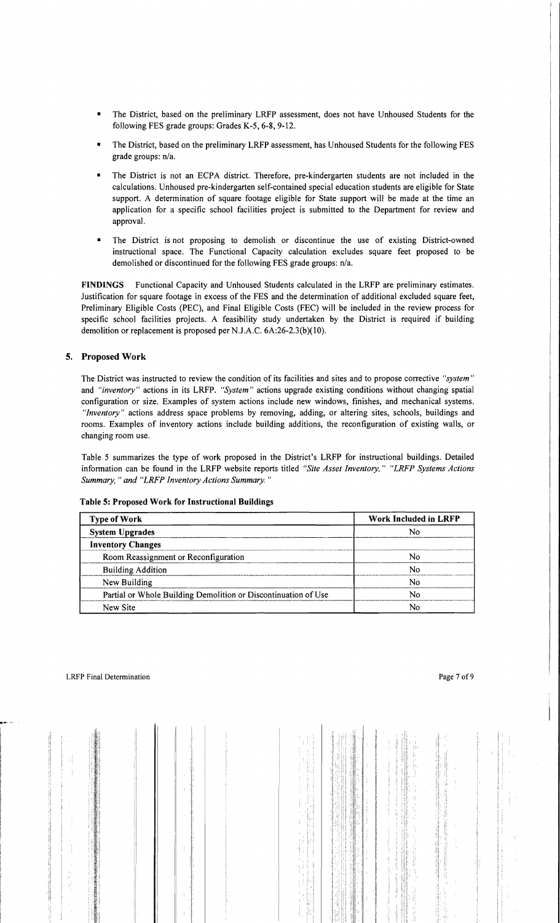- The District, based on the preliminary LRFP assessment, does not have Unhoused Students for the following FES grade groups: Grades K-5, 6-8, 9-12.
- The District, based on the preliminary LRFP assessment, has Unhoused Students for the following FES grade groups: n/a.
- The District is not an ECPA district. Therefore, pre-kindergarten students are not included in the calculations. Unhoused pre-kindergarten self-contained special education students are eligible for State support. A determination of square footage eligible for State support will be made at the time an application for a specific school facilities project is submitted to the Department for review and approval.
- The District is not proposing to demolish or discontinue the use of existing District-owned instructional space. The Functional Capacity calculation excludes square feet proposed to be demolished or discontinued for the following FES grade groups: n/a.

FINDINGS Functional Capacity and Unhoused Students calculated in the LRFP are preliminary estimates. Justification for square footage in excess of the FES and the determination of additional excluded square feet, Preliminary Eligible Costs (PEC), and Final Eligible Costs (FEC) will be included in the review process for specific school facilities projects. A feasibility study undertaken by the District is required if building demolition or replacement is proposed per NJ.A.C. 6A:26-2.3(b)( 10).

#### 5. Proposed Work

The District was instructed to review the condition of its facilities and sites and to propose corrective *"system"*  and *"inventory"* actions in its LRFP. *"System"* actions upgrade existing conditions without changing spatial configuration or size. Examples of system actions include new windows, finishes, and mechanical systems. *"Inventory"* actions address space problems by removing, adding, or altering sites, schools, buildings and rooms. Examples of inventory actions include building additions, the reconfiguration of existing walls, or changing room use.

Table 5 summarizes the type of work proposed in the District's LRFP for instructional buildings. Detailed information can be found in the LRFP website reports titled *"Site Asset Inventory," "LRFP Systems Actions Summary,* " *and "LRFP Inventory Actions Summary. "* 

| <b>Type of Work</b>                                            | <b>Work Included in LRFP</b> |  |
|----------------------------------------------------------------|------------------------------|--|
| <b>System Upgrades</b>                                         | N٥                           |  |
| <b>Inventory Changes</b>                                       |                              |  |
| Room Reassignment or Reconfiguration                           | N٥                           |  |
| <b>Building Addition</b>                                       | N٥                           |  |
| New Building                                                   | N٥                           |  |
| Partial or Whole Building Demolition or Discontinuation of Use | N٥                           |  |
| New Site                                                       | N٥                           |  |

#### Table 5: Proposed Work. for Instructional Buildings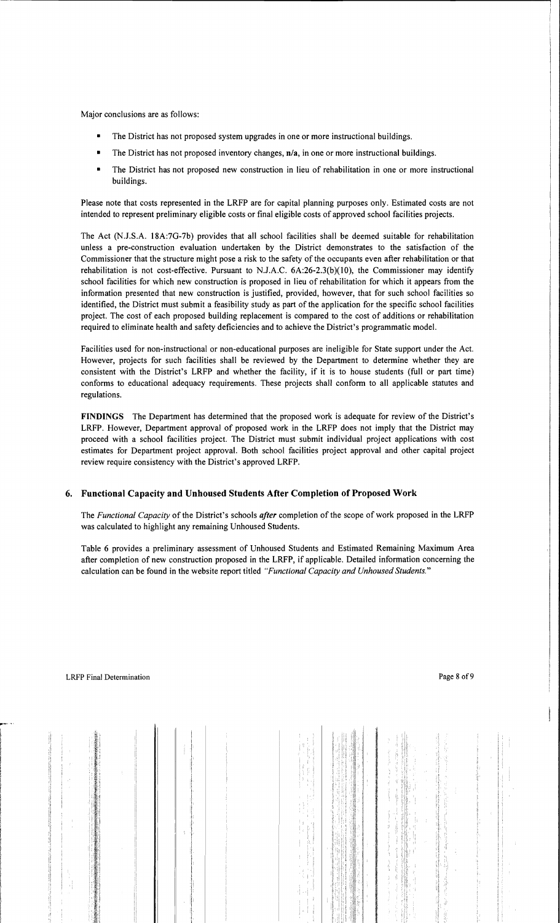Major conclusions are as follows:

- The District has not proposed system upgrades in one or more instructional buildings.
- $\blacksquare$  The District has not proposed inventory changes,  $\mathbf{n}/\mathbf{a}$ , in one or more instructional buildings.
- The District has not proposed new construction in lieu of rehabilitation in one or more instructional buildings.

Please note that costs represented in the LRFP are for capital planning purposes only. Estimated costs are not intended to represent preliminary eligible costs or final eligible costs of approved school facilities projects.

The Act (NJ.S.A. 18A:7G-7b) provides that all school facilities shall be deemed suitable for rehabilitation unless a pre-construction evaluation undertaken by the District demonstrates to the satisfaction of the Commissioner that the structure might pose a risk to the safety of the occupants even after rehabilitation or that rehabilitation is not cost-effective. Pursuant to NJ.A.C. 6A:26-2.3(b)(10), the Commissioner may identify school facilities for which new construction is proposed in lieu of rehabilitation for which it appears from the information presented that new construction is justified, provided, however, that for such school facilities so identified, the District must submit a feasibility study as part of the application for the specific school facilities project. The cost of each proposed building replacement is compared to the cost of additions or rehabilitation required to eliminate health and safety deficiencies and to achieve the District's programmatic model.

Facilities used for non-instructional or non-educational purposes are ineligible for State support under the Act. However, projects for such facilities shall be reviewed by the Department to determine whether they are consistent with the District's LRFP and whether the facility, if it is to house students (full or part time) conforms to educational adequacy requirements. These projects shall confonn to all applicable statutes and regulations.

**FINDINGS** The Department has detennined that the proposed work is adequate for review of the District's LRFP. However, Department approval of proposed work in the LRFP does not imply that the District may proceed with a school facilities project. The District must submit individual project applications with cost estimates for Department project approval. Both school facilities project approval and other capital project review require consistency with the District's approved LRFP.

## **6. Functional Capacity and Unhoused Students After Completion** of Proposed **Work**

The *Functional Capacity* of the District's schools *after* completion of the scope of work proposed in the LRFP was calculated to highlight any remaining Unhoused Students.

Table 6 provides a preliminary assessment of Unhoused Students and Estimated Remaining Maximum Area after completion of new construction proposed in the LRFP, if applicable. Detailed information concerning the calculation can be found in the website report titled *"Functional Capacity and Unhoused Students."*